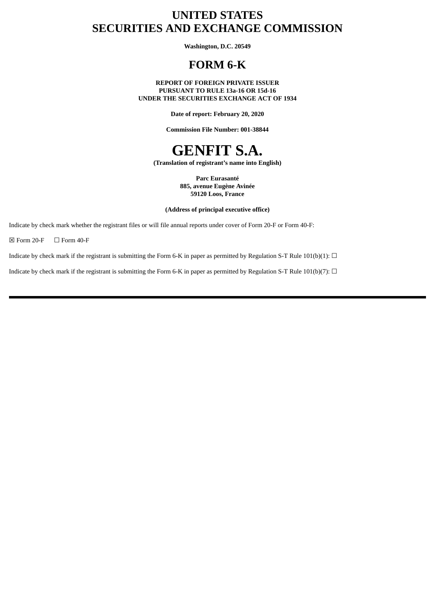## **UNITED STATES SECURITIES AND EXCHANGE COMMISSION**

**Washington, D.C. 20549**

## **FORM 6-K**

**REPORT OF FOREIGN PRIVATE ISSUER PURSUANT TO RULE 13a-16 OR 15d-16 UNDER THE SECURITIES EXCHANGE ACT OF 1934**

**Date of report: February 20, 2020**

**Commission File Number: 001-38844**

# **GENFIT S.A.**

**(Translation of registrant's name into English)**

**Parc Eurasanté 885, avenue Eugène Avinée 59120 Loos, France**

**(Address of principal executive office)**

Indicate by check mark whether the registrant files or will file annual reports under cover of Form 20-F or Form 40-F:

 $\boxtimes$  Form 20-F  $\Box$  Form 40-F

Indicate by check mark if the registrant is submitting the Form 6-K in paper as permitted by Regulation S-T Rule 101(b)(1):  $\Box$ 

Indicate by check mark if the registrant is submitting the Form 6-K in paper as permitted by Regulation S-T Rule 101(b)(7):  $\Box$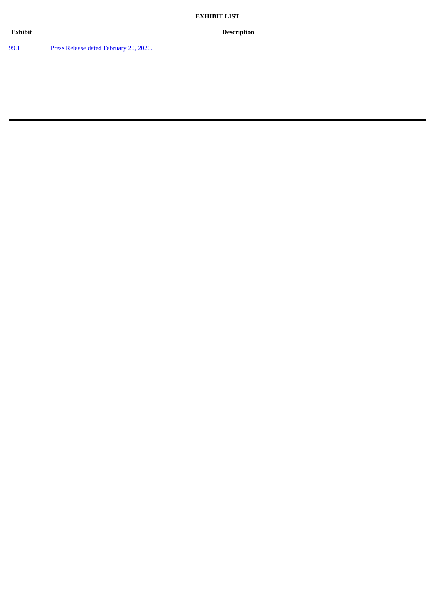[99.1](#page-3-0) Press Release dated [February](#page-3-0) 20, 2020.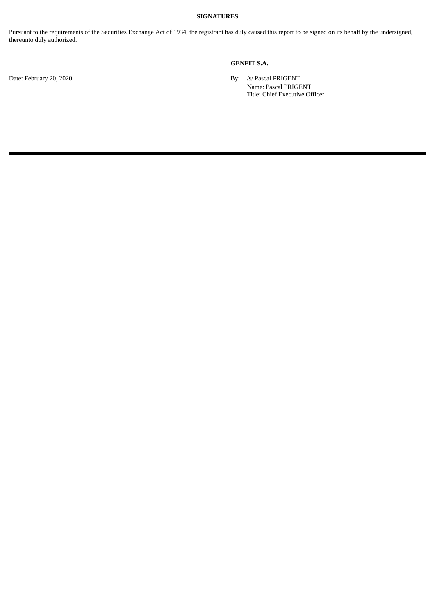#### **SIGNATURES**

Pursuant to the requirements of the Securities Exchange Act of 1934, the registrant has duly caused this report to be signed on its behalf by the undersigned, thereunto duly authorized.

### **GENFIT S.A.**

Date: February 20, 2020 By: /s/ Pascal PRIGENT

Name: Pascal PRIGENT Title: Chief Executive Officer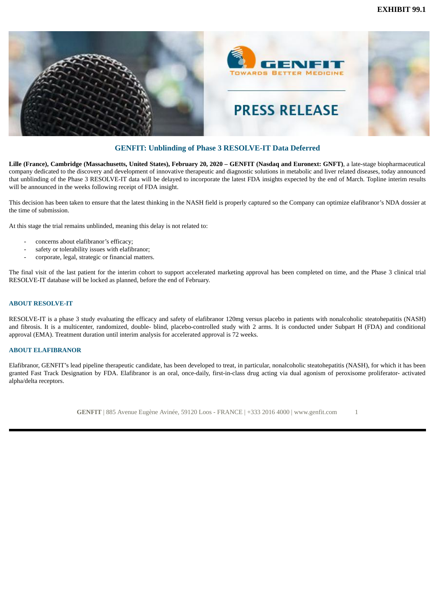<span id="page-3-0"></span>

#### **GENFIT: Unblinding of Phase 3 RESOLVE-IT Data Deferred**

Lille (France), Cambridge (Massachusetts, United States), February 20, 2020 - GENFIT (Nasdaq and Euronext: GNFT), a late-stage biopharmaceutical company dedicated to the discovery and development of innovative therapeutic and diagnostic solutions in metabolic and liver related diseases, today announced that unblinding of the Phase 3 RESOLVE-IT data will be delayed to incorporate the latest FDA insights expected by the end of March. Topline interim results will be announced in the weeks following receipt of FDA insight.

This decision has been taken to ensure that the latest thinking in the NASH field is properly captured so the Company can optimize elafibranor's NDA dossier at the time of submission.

At this stage the trial remains unblinded, meaning this delay is not related to:

- concerns about elafibranor's efficacy;
- safety or tolerability issues with elafibranor;
- corporate, legal, strategic or financial matters.

The final visit of the last patient for the interim cohort to support accelerated marketing approval has been completed on time, and the Phase 3 clinical trial RESOLVE-IT database will be locked as planned, before the end of February.

#### **ABOUT RESOLVE-IT**

RESOLVE-IT is a phase 3 study evaluating the efficacy and safety of elafibranor 120mg versus placebo in patients with nonalcoholic steatohepatitis (NASH) and fibrosis. It is a multicenter, randomized, double- blind, placebo-controlled study with 2 arms. It is conducted under Subpart H (FDA) and conditional approval (EMA). Treatment duration until interim analysis for accelerated approval is 72 weeks.

#### **ABOUT ELAFIBRANOR**

Elafibranor, GENFIT's lead pipeline therapeutic candidate, has been developed to treat, in particular, nonalcoholic steatohepatitis (NASH), for which it has been granted Fast Track Designation by FDA. Elafibranor is an oral, once-daily, first-in-class drug acting via dual agonism of peroxisome proliferator- activated alpha/delta receptors.

**GENFIT** | 885 Avenue Eugène Avinée, 59120 Loos - FRANCE | +333 2016 4000 | www.genfit.com 1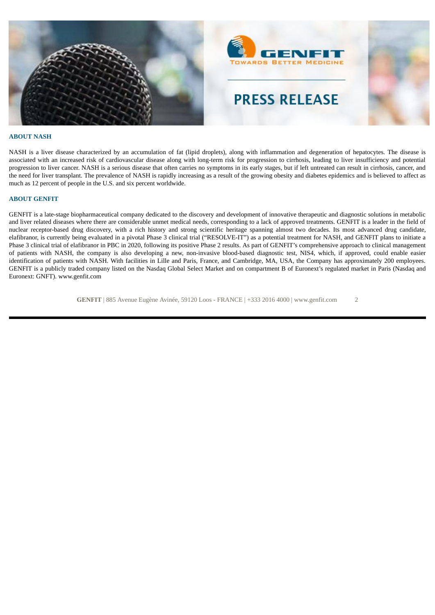

#### **ABOUT NASH**

NASH is a liver disease characterized by an accumulation of fat (lipid droplets), along with inflammation and degeneration of hepatocytes. The disease is associated with an increased risk of cardiovascular disease along with long-term risk for progression to cirrhosis, leading to liver insufficiency and potential progression to liver cancer. NASH is a serious disease that often carries no symptoms in its early stages, but if left untreated can result in cirrhosis, cancer, and the need for liver transplant. The prevalence of NASH is rapidly increasing as a result of the growing obesity and diabetes epidemics and is believed to affect as much as 12 percent of people in the U.S. and six percent worldwide.

#### **ABOUT GENFIT**

GENFIT is a late-stage biopharmaceutical company dedicated to the discovery and development of innovative therapeutic and diagnostic solutions in metabolic and liver related diseases where there are considerable unmet medical needs, corresponding to a lack of approved treatments. GENFIT is a leader in the field of nuclear receptor-based drug discovery, with a rich history and strong scientific heritage spanning almost two decades. Its most advanced drug candidate, elafibranor, is currently being evaluated in a pivotal Phase 3 clinical trial ("RESOLVE-IT") as a potential treatment for NASH, and GENFIT plans to initiate a Phase 3 clinical trial of elafibranor in PBC in 2020, following its positive Phase 2 results. As part of GENFIT's comprehensive approach to clinical management of patients with NASH, the company is also developing a new, non-invasive blood-based diagnostic test, NIS4, which, if approved, could enable easier identification of patients with NASH. With facilities in Lille and Paris, France, and Cambridge, MA, USA, the Company has approximately 200 employees. GENFIT is a publicly traded company listed on the Nasdaq Global Select Market and on compartment B of Euronext's regulated market in Paris (Nasdaq and Euronext: GNFT). www.genfit.com

**GENFIT** | 885 Avenue Eugène Avinée, 59120 Loos - FRANCE | +333 2016 4000 | www.genfit.com 2